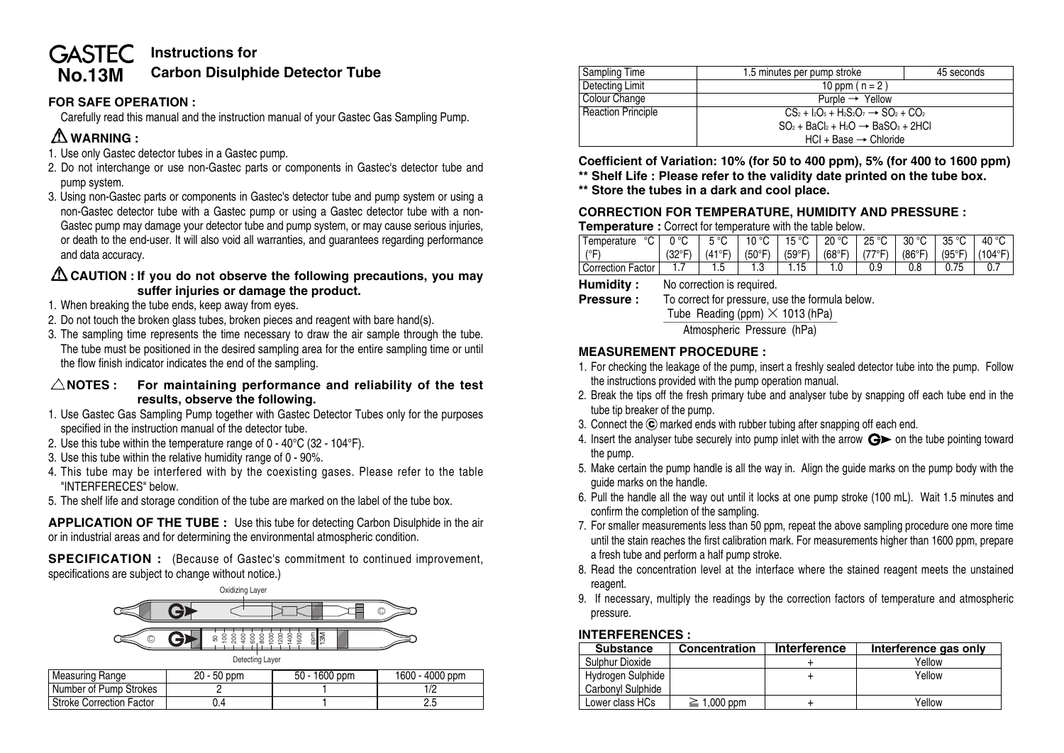#### **Instructions for GASTEC Carbon Disulphide Detector Tube No.13M**

### **FOR SAFE OPERATION :**

Carefully read this manual and the instruction manual of your Gastec Gas Sampling Pump.

# **WARNING :**

- 1. Use only Gastec detector tubes in a Gastec pump.
- 2. Do not interchange or use non-Gastec parts or components in Gastec's detector tube and pump system.
- 3. Using non-Gastec parts or components in Gastec's detector tube and pump system or using a non-Gastec detector tube with a Gastec pump or using a Gastec detector tube with a non-Gastec pump may damage your detector tube and pump system, or may cause serious injuries, or death to the end-user. It will also void all warranties, and guarantees regarding performance and data accuracy.

### **CAUTION : If you do not observe the following precautions, you may suffer injuries or damage the product.**

- 1. When breaking the tube ends, keep away from eyes.
- 2. Do not touch the broken glass tubes, broken pieces and reagent with bare hand(s).
- 3. The sampling time represents the time necessary to draw the air sample through the tube. The tube must be positioned in the desired sampling area for the entire sampling time or until the flow finish indicator indicates the end of the sampling.

### **NOTES : For maintaining performance and reliability of the test results, observe the following.**

- 1. Use Gastec Gas Sampling Pump together with Gastec Detector Tubes only for the purposes specified in the instruction manual of the detector tube.
- 2. Use this tube within the temperature range of 0 40°C (32 104°F).
- 3. Use this tube within the relative humidity range of 0 90%.
- 4. This tube may be interfered with by the coexisting gases. Please refer to the table "INTERFERECES" below.
- 5. The shelf life and storage condition of the tube are marked on the label of the tube box.

**APPLICATION OF THE TUBE :** Use this tube for detecting Carbon Disulphide in the air or in industrial areas and for determining the environmental atmospheric condition.

**SPECIFICATION :** (Because of Gastec's commitment to continued improvement, specifications are subject to change without notice.)



| Measuring Range          | 20 - 50 ppm | 1600 ppm<br>$50 -$ | 1600 - 4000 ppm |
|--------------------------|-------------|--------------------|-----------------|
| Number of Pump Strokes   |             |                    |                 |
| Stroke Correction Factor | .4          |                    |                 |

| <b>Sampling Time</b>      | 1.5 minutes per pump stroke                         | 45 seconds |  |  |
|---------------------------|-----------------------------------------------------|------------|--|--|
| Detecting Limit           | 10 ppm ( $n = 2$ )                                  |            |  |  |
| Colour Change             | Purple $\rightarrow$ Yellow                         |            |  |  |
| <b>Reaction Principle</b> | $CS_2 + I_2O_5 + H_2S_2O_7 \rightarrow SO_2 + CO_2$ |            |  |  |
|                           | $SO_2 + BaCl_2 + H_2O \rightarrow BaSO_3 + 2HCl$    |            |  |  |
|                           | $HCl + Base \rightarrow Chloride$                   |            |  |  |

**Coefficient of Variation: 10% (for 50 to 400 ppm), 5% (for 400 to 1600 ppm)**

**\*\* Shelf Life : Please refer to the validity date printed on the tube box.**

**\*\* Store the tubes in a dark and cool place.**

## **CORRECTION FOR TEMPERATURE, HUMIDITY AND PRESSURE :**

#### **Temperature :** Correct for temperature with the table below.

| $^{\circ}$ C $\Box$<br>Temperature | 0 °C | $\parallel$ 5 °C $\parallel$ 10 °C $\parallel$ 15 °C $\parallel$ 20 °C $\parallel$ 25 °C $\parallel$ 30 °C $\parallel$ 35 °C $\parallel$ 40 °C                   |      |  |  |  |
|------------------------------------|------|------------------------------------------------------------------------------------------------------------------------------------------------------------------|------|--|--|--|
| $(^{\circ}F)$                      |      | $(32^{\circ}F)$   $(41^{\circ}F)$   $(50^{\circ}F)$   $(59^{\circ}F)$   $(68^{\circ}F)$   $(77^{\circ}F)$   $(86^{\circ}F)$   $(95^{\circ}F)$   $(104^{\circ}F)$ |      |  |  |  |
| <b>Correction Factor</b>           |      |                                                                                                                                                                  | l.15 |  |  |  |

**Humidity :** No correction is required.

**Pressure :** To correct for pressure, use the formula below.

Tube Reading (ppm)  $\times$  1013 (hPa)<br>Atmospheric Pressure (hPa)

### **MEASUREMENT PROCEDURE :**

- 1. For checking the leakage of the pump, insert a freshly sealed detector tube into the pump. Follow the instructions provided with the pump operation manual.
- 2. Break the tips off the fresh primary tube and analyser tube by snapping off each tube end in the tube tip breaker of the pump.
- 3. Connect the  $\odot$  marked ends with rubber tubing after snapping off each end.
- 4. Insert the analyser tube securely into pump inlet with the arrow  $\mathbf{G}$  on the tube pointing toward the pump.
- 5. Make certain the pump handle is all the way in. Align the guide marks on the pump body with the guide marks on the handle.
- 6. Pull the handle all the way out until it locks at one pump stroke (100 mL). Wait 1.5 minutes and confirm the completion of the sampling.
- 7. For smaller measurements less than 50 ppm, repeat the above sampling procedure one more time until the stain reaches the first calibration mark. For measurements higher than 1600 ppm, prepare a fresh tube and perform a half pump stroke.
- 8. Read the concentration level at the interface where the stained reagent meets the unstained reagent.
- 9. If necessary, multiply the readings by the correction factors of temperature and atmospheric pressure.

#### **INTERFERENCES :**

| <b>Substance</b>  | Concentration    | <b>Interference</b> | Interference gas only |
|-------------------|------------------|---------------------|-----------------------|
| Sulphur Dioxide   |                  |                     | Yellow                |
| Hydrogen Sulphide |                  |                     | Yellow                |
| Carbonyl Sulphide |                  |                     |                       |
| Lower class HCs   | $\geq 1,000$ ppm |                     | Yellow                |